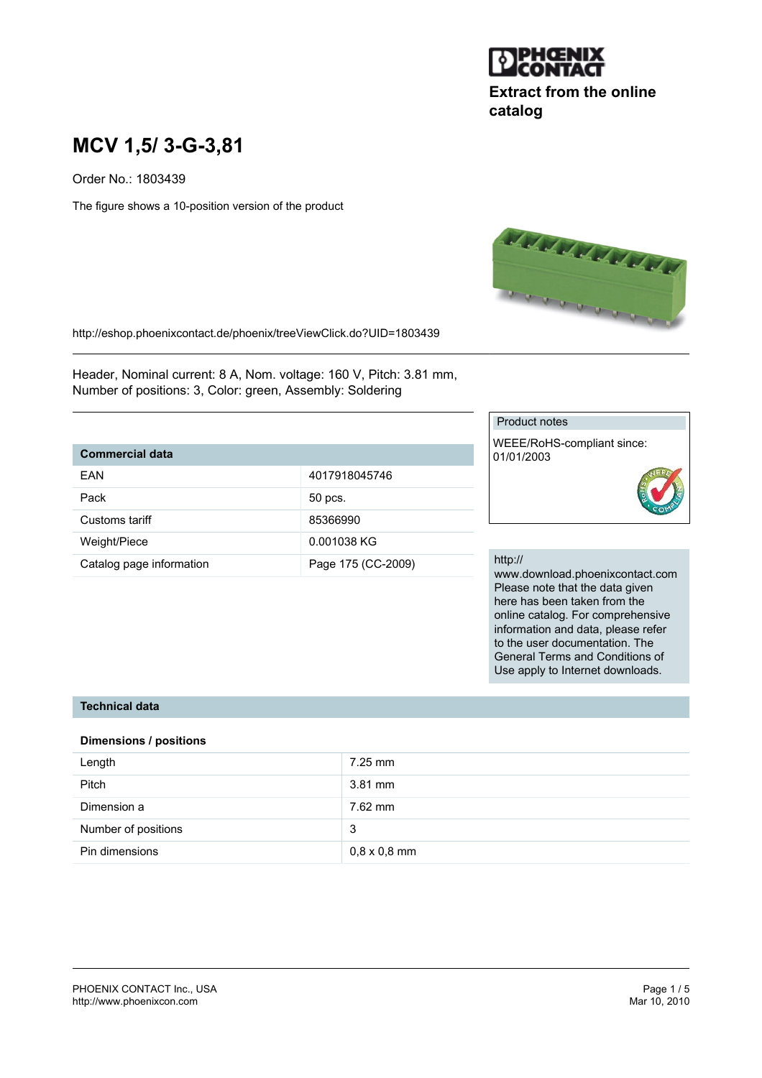

# **Extract from the online catalog**

# **MCV 1,5/ 3-G-3,81**

Order No.: 1803439

The figure shows a 10-position version of the product



http://eshop.phoenixcontact.de/phoenix/treeViewClick.do?UID=1803439

Header, Nominal current: 8 A, Nom. voltage: 160 V, Pitch: 3.81 mm, Number of positions: 3, Color: green, Assembly: Soldering

### **Commercial data**

| FAN                      | 4017918045746      |
|--------------------------|--------------------|
|                          |                    |
| Pack                     | 50 pcs.            |
| Customs tariff           | 85366990           |
|                          |                    |
| Weight/Piece             | 0.001038 KG        |
| Catalog page information | Page 175 (CC-2009) |

#### Product notes

WEEE/RoHS-compliant since: 01/01/2003

#### http://

www.download.phoenixcontact.com Please note that the data given here has been taken from the online catalog. For comprehensive information and data, please refer to the user documentation. The General Terms and Conditions of Use apply to Internet downloads.

#### **Technical data**

#### **Dimensions / positions**

| Length              | $7.25$ mm           |
|---------------------|---------------------|
| <b>Pitch</b>        | $3.81$ mm           |
| Dimension a         | 7.62 mm             |
| Number of positions | 3                   |
| Pin dimensions      | $0,8 \times 0,8$ mm |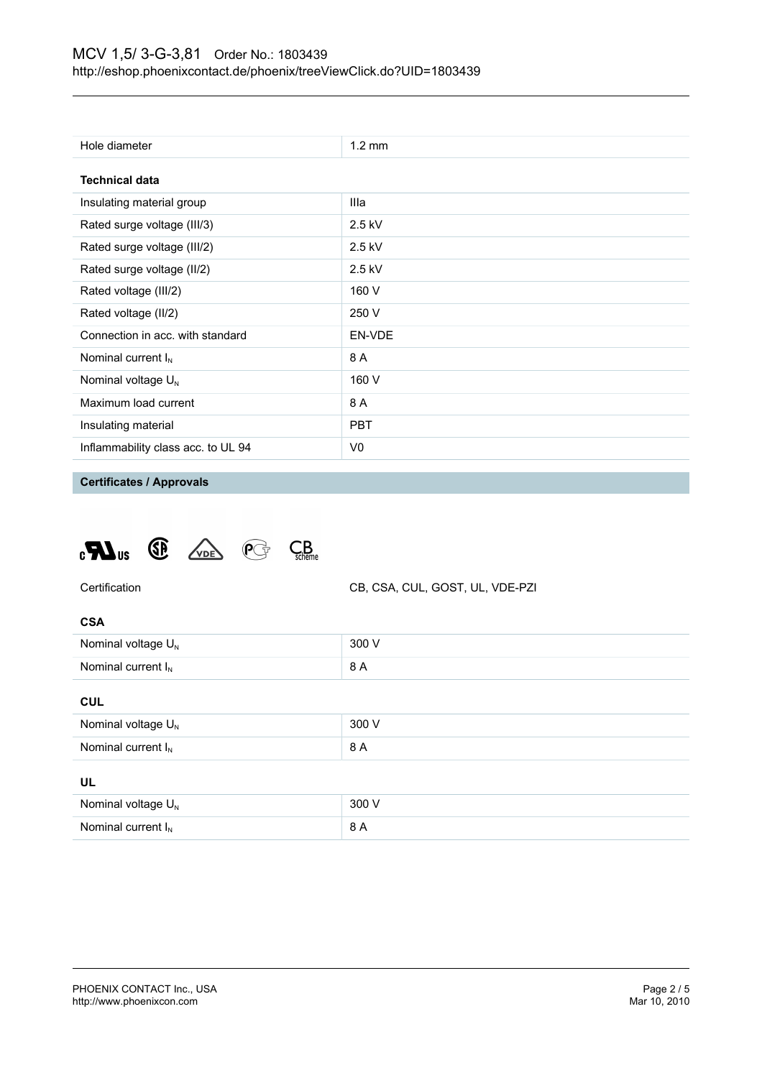| Hole diameter                      | $1.2 \text{ mm}$ |
|------------------------------------|------------------|
| <b>Technical data</b>              |                  |
| Insulating material group          | Illa             |
| Rated surge voltage (III/3)        | $2.5$ kV         |
| Rated surge voltage (III/2)        | $2.5$ kV         |
| Rated surge voltage (II/2)         | $2.5$ kV         |
| Rated voltage (III/2)              | 160 V            |
| Rated voltage (II/2)               | 250 V            |
| Connection in acc. with standard   | EN-VDE           |
| Nominal current $I_N$              | 8 A              |
| Nominal voltage $U_N$              | 160 V            |
| Maximum load current               | 8 A              |
| Insulating material                | <b>PBT</b>       |
| Inflammability class acc. to UL 94 | V0               |

**Certificates / Approvals**





| ۰.<br>× |  |
|---------|--|

| Nominal voltage $U_{N}$ | 300 V |
|-------------------------|-------|
| Nominal current $I_{N}$ | 8 A   |
|                         |       |

#### **CUL**

| Nominal voltage $U_N$ | 300 V |
|-----------------------|-------|
| Nominal current $I_N$ | 8 A   |
| UL                    |       |
| Nominal voltage $U_N$ | 300 V |
| Nominal current $I_N$ | 8 A   |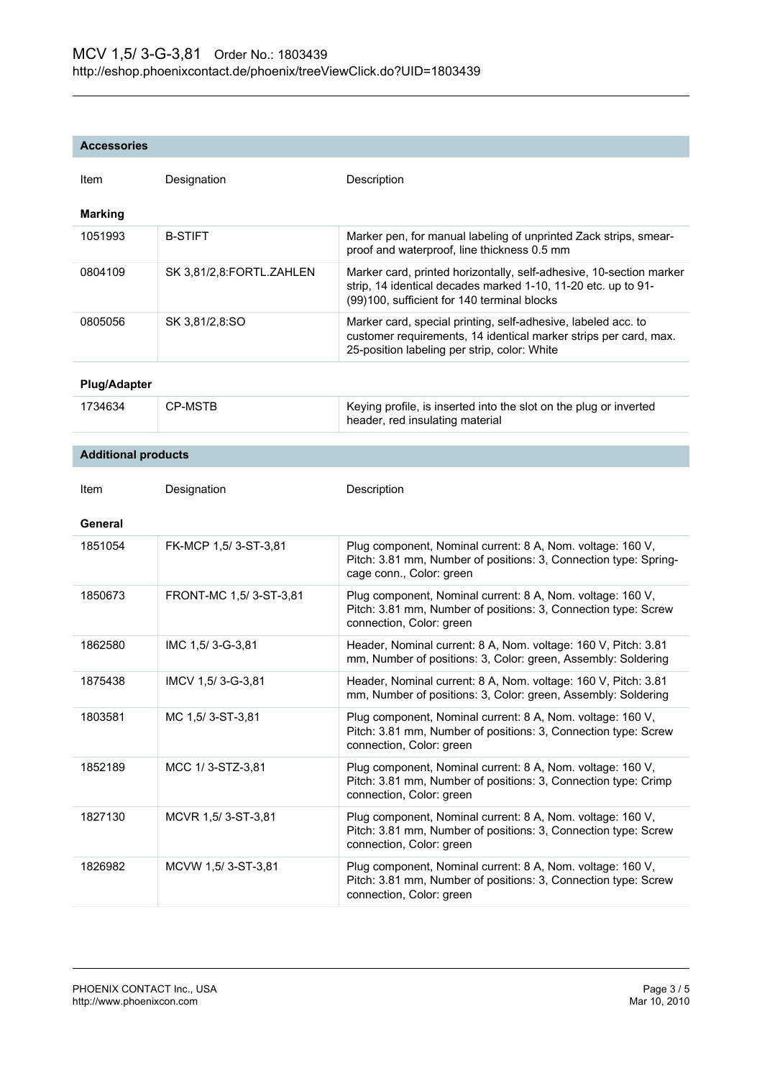#### **Accessories**

| Item                       | Designation              | Description                                                                                                                                                                         |
|----------------------------|--------------------------|-------------------------------------------------------------------------------------------------------------------------------------------------------------------------------------|
| <b>Marking</b>             |                          |                                                                                                                                                                                     |
| 1051993                    | <b>B-STIFT</b>           | Marker pen, for manual labeling of unprinted Zack strips, smear-<br>proof and waterproof, line thickness 0.5 mm                                                                     |
| 0804109                    | SK 3,81/2,8:FORTL.ZAHLEN | Marker card, printed horizontally, self-adhesive, 10-section marker<br>strip, 14 identical decades marked 1-10, 11-20 etc. up to 91-<br>(99)100, sufficient for 140 terminal blocks |
| 0805056                    | SK 3,81/2,8:SO           | Marker card, special printing, self-adhesive, labeled acc. to<br>customer requirements, 14 identical marker strips per card, max.<br>25-position labeling per strip, color: White   |
| <b>Plug/Adapter</b>        |                          |                                                                                                                                                                                     |
| 1734634                    | <b>CP-MSTB</b>           | Keying profile, is inserted into the slot on the plug or inverted<br>header, red insulating material                                                                                |
| <b>Additional products</b> |                          |                                                                                                                                                                                     |
|                            |                          |                                                                                                                                                                                     |
| Item                       | Designation              | Description                                                                                                                                                                         |
| General                    |                          |                                                                                                                                                                                     |
| 1851054                    | FK-MCP 1,5/3-ST-3,81     | Plug component, Nominal current: 8 A, Nom. voltage: 160 V,<br>Pitch: 3.81 mm, Number of positions: 3, Connection type: Spring-<br>cage conn., Color: green                          |
| 1850673                    | FRONT-MC 1,5/3-ST-3,81   | Plug component, Nominal current: 8 A, Nom. voltage: 160 V,<br>Pitch: 3.81 mm, Number of positions: 3, Connection type: Screw<br>connection, Color: green                            |
| 1862580                    | IMC 1,5/3-G-3,81         | Header, Nominal current: 8 A, Nom. voltage: 160 V, Pitch: 3.81<br>mm, Number of positions: 3, Color: green, Assembly: Soldering                                                     |
| 1875438                    | IMCV 1,5/3-G-3,81        | Header, Nominal current: 8 A, Nom. voltage: 160 V, Pitch: 3.81<br>mm, Number of positions: 3, Color: green, Assembly: Soldering                                                     |
| 1803581                    | MC 1,5/3-ST-3,81         | Plug component, Nominal current: 8 A, Nom. voltage: 160 V,<br>Pitch: 3.81 mm, Number of positions: 3, Connection type: Screw<br>connection, Color: green                            |
| 1852189                    | MCC 1/3-STZ-3,81         | Plug component, Nominal current: 8 A, Nom. voltage: 160 V,<br>Pitch: 3.81 mm, Number of positions: 3, Connection type: Crimp<br>connection, Color: green                            |
| 1827130                    | MCVR 1,5/3-ST-3,81       | Plug component, Nominal current: 8 A, Nom. voltage: 160 V,<br>Pitch: 3.81 mm, Number of positions: 3, Connection type: Screw<br>connection, Color: green                            |
| 1826982                    | MCVW 1,5/3-ST-3,81       | Plug component, Nominal current: 8 A, Nom. voltage: 160 V,<br>Pitch: 3.81 mm, Number of positions: 3, Connection type: Screw<br>connection, Color: green                            |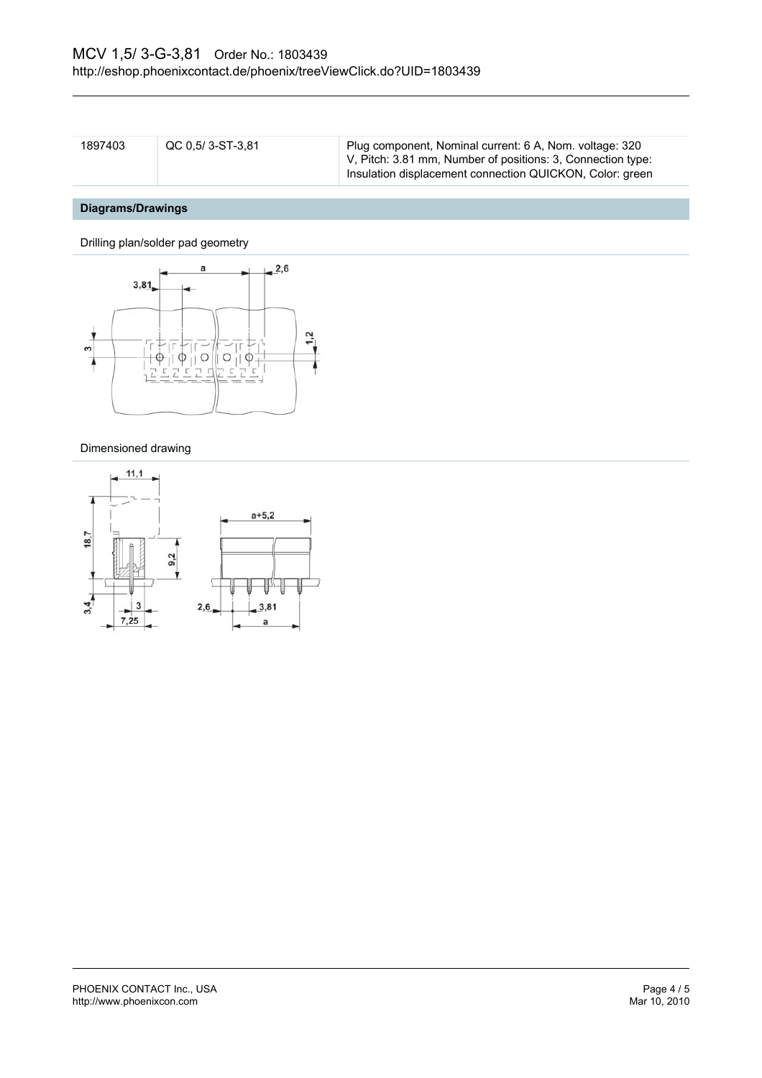| 1897403 | QC 0,5/3-ST-3,81 | Plug component, Nominal current: 6 A, Nom. voltage: 320     |
|---------|------------------|-------------------------------------------------------------|
|         |                  | V, Pitch: 3.81 mm, Number of positions: 3, Connection type: |
|         |                  | Insulation displacement connection QUICKON, Color: green    |

# **Diagrams/Drawings**

Drilling plan/solder pad geometry



#### Dimensioned drawing